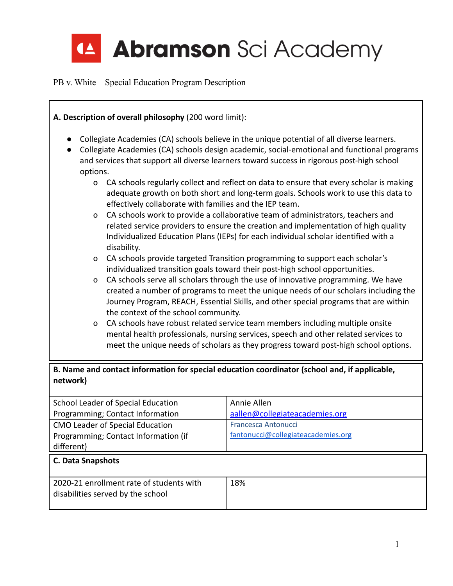

| A. Description of overall philosophy (200 word limit):                                                                                                                                                                                                                                              |                                                                                                                                                                                                                                                                                                         |                                                                                                                                                                                |  |
|-----------------------------------------------------------------------------------------------------------------------------------------------------------------------------------------------------------------------------------------------------------------------------------------------------|---------------------------------------------------------------------------------------------------------------------------------------------------------------------------------------------------------------------------------------------------------------------------------------------------------|--------------------------------------------------------------------------------------------------------------------------------------------------------------------------------|--|
| Collegiate Academies (CA) schools believe in the unique potential of all diverse learners.<br>Collegiate Academies (CA) schools design academic, social-emotional and functional programs<br>and services that support all diverse learners toward success in rigorous post-high school<br>options. |                                                                                                                                                                                                                                                                                                         |                                                                                                                                                                                |  |
|                                                                                                                                                                                                                                                                                                     |                                                                                                                                                                                                                                                                                                         |                                                                                                                                                                                |  |
| $\mathsf{o}$                                                                                                                                                                                                                                                                                        | effectively collaborate with families and the IEP team.                                                                                                                                                                                                                                                 | CA schools regularly collect and reflect on data to ensure that every scholar is making<br>adequate growth on both short and long-term goals. Schools work to use this data to |  |
| $\mathsf{o}$                                                                                                                                                                                                                                                                                        | CA schools work to provide a collaborative team of administrators, teachers and<br>related service providers to ensure the creation and implementation of high quality<br>Individualized Education Plans (IEPs) for each individual scholar identified with a<br>disability.                            |                                                                                                                                                                                |  |
| $\mathsf{o}$                                                                                                                                                                                                                                                                                        | CA schools provide targeted Transition programming to support each scholar's<br>individualized transition goals toward their post-high school opportunities.                                                                                                                                            |                                                                                                                                                                                |  |
| O                                                                                                                                                                                                                                                                                                   | CA schools serve all scholars through the use of innovative programming. We have<br>created a number of programs to meet the unique needs of our scholars including the<br>Journey Program, REACH, Essential Skills, and other special programs that are within<br>the context of the school community. |                                                                                                                                                                                |  |
| $\Omega$                                                                                                                                                                                                                                                                                            | CA schools have robust related service team members including multiple onsite<br>mental health professionals, nursing services, speech and other related services to<br>meet the unique needs of scholars as they progress toward post-high school options.                                             |                                                                                                                                                                                |  |
| B. Name and contact information for special education coordinator (school and, if applicable,<br>network)                                                                                                                                                                                           |                                                                                                                                                                                                                                                                                                         |                                                                                                                                                                                |  |
|                                                                                                                                                                                                                                                                                                     | Annie Allen<br>School Leader of Special Education                                                                                                                                                                                                                                                       |                                                                                                                                                                                |  |
| aallen@collegiateacademies.org<br>Programming; Contact Information                                                                                                                                                                                                                                  |                                                                                                                                                                                                                                                                                                         |                                                                                                                                                                                |  |
| Francesca Antonucci<br>CMO Leader of Special Education                                                                                                                                                                                                                                              |                                                                                                                                                                                                                                                                                                         |                                                                                                                                                                                |  |
| fantonucci@collegiateacademies.org<br>Programming; Contact Information (if<br>different)                                                                                                                                                                                                            |                                                                                                                                                                                                                                                                                                         |                                                                                                                                                                                |  |
| C. Data Snapshots                                                                                                                                                                                                                                                                                   |                                                                                                                                                                                                                                                                                                         |                                                                                                                                                                                |  |

| 2020-21 enrollment rate of students with | 18% |
|------------------------------------------|-----|
| disabilities served by the school        |     |
|                                          |     |

 $\overline{1}$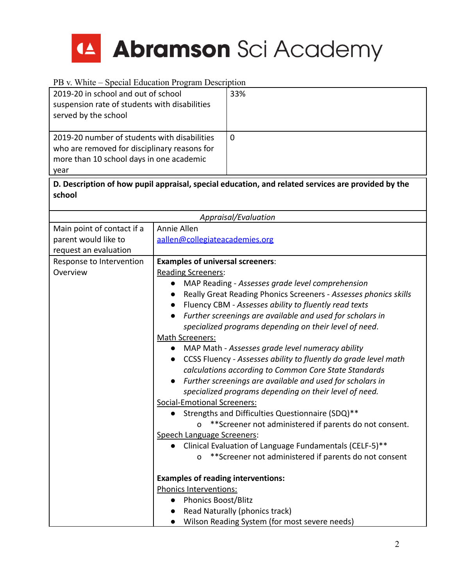

| 2019-20 in school and out of school<br>suspension rate of students with disabilities<br>served by the school                                     |                                                                                                                                                                                                                                                                                                 | 33%                                                                                                                                                                                                                                                                                                                                                                                                                                                                                                                                                                                                                                                                                                                                                                                                                                                                                                                               |
|--------------------------------------------------------------------------------------------------------------------------------------------------|-------------------------------------------------------------------------------------------------------------------------------------------------------------------------------------------------------------------------------------------------------------------------------------------------|-----------------------------------------------------------------------------------------------------------------------------------------------------------------------------------------------------------------------------------------------------------------------------------------------------------------------------------------------------------------------------------------------------------------------------------------------------------------------------------------------------------------------------------------------------------------------------------------------------------------------------------------------------------------------------------------------------------------------------------------------------------------------------------------------------------------------------------------------------------------------------------------------------------------------------------|
| 2019-20 number of students with disabilities<br>who are removed for disciplinary reasons for<br>more than 10 school days in one academic<br>year |                                                                                                                                                                                                                                                                                                 | $\overline{0}$                                                                                                                                                                                                                                                                                                                                                                                                                                                                                                                                                                                                                                                                                                                                                                                                                                                                                                                    |
| school                                                                                                                                           |                                                                                                                                                                                                                                                                                                 | D. Description of how pupil appraisal, special education, and related services are provided by the                                                                                                                                                                                                                                                                                                                                                                                                                                                                                                                                                                                                                                                                                                                                                                                                                                |
|                                                                                                                                                  |                                                                                                                                                                                                                                                                                                 | Appraisal/Evaluation                                                                                                                                                                                                                                                                                                                                                                                                                                                                                                                                                                                                                                                                                                                                                                                                                                                                                                              |
| Main point of contact if a<br>parent would like to<br>request an evaluation                                                                      | Annie Allen<br>aallen@collegiateacademies.org                                                                                                                                                                                                                                                   |                                                                                                                                                                                                                                                                                                                                                                                                                                                                                                                                                                                                                                                                                                                                                                                                                                                                                                                                   |
| Response to Intervention<br>Overview                                                                                                             | <b>Examples of universal screeners:</b><br><b>Reading Screeners:</b><br>Math Screeners:<br>$\bullet$<br>$\bullet$<br><b>Social-Emotional Screeners:</b><br>0<br>Speech Language Screeners:<br>0<br><b>Examples of reading interventions:</b><br>Phonics Interventions:<br>• Phonics Boost/Blitz | MAP Reading - Assesses grade level comprehension<br>Really Great Reading Phonics Screeners - Assesses phonics skills<br>Fluency CBM - Assesses ability to fluently read texts<br>Further screenings are available and used for scholars in<br>specialized programs depending on their level of need.<br>MAP Math - Assesses grade level numeracy ability<br>CCSS Fluency - Assesses ability to fluently do grade level math<br>calculations according to Common Core State Standards<br>Further screenings are available and used for scholars in<br>specialized programs depending on their level of need.<br>Strengths and Difficulties Questionnaire (SDQ)**<br>** Screener not administered if parents do not consent.<br>Clinical Evaluation of Language Fundamentals (CELF-5)**<br>**Screener not administered if parents do not consent<br>Read Naturally (phonics track)<br>Wilson Reading System (for most severe needs) |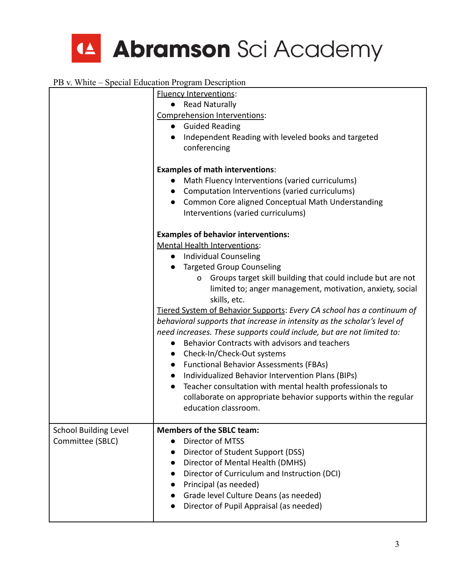

|                                                  | <b>Fluency Interventions:</b><br><b>Read Naturally</b><br>Comprehension Interventions:<br>• Guided Reading<br>Independent Reading with leveled books and targeted<br>conferencing<br><b>Examples of math interventions:</b><br>Math Fluency Interventions (varied curriculums)<br>Computation Interventions (varied curriculums)<br>$\bullet$                                                                                                                                                                                                                                                                                                                                                                                                                                                                                                                                                                                               |
|--------------------------------------------------|---------------------------------------------------------------------------------------------------------------------------------------------------------------------------------------------------------------------------------------------------------------------------------------------------------------------------------------------------------------------------------------------------------------------------------------------------------------------------------------------------------------------------------------------------------------------------------------------------------------------------------------------------------------------------------------------------------------------------------------------------------------------------------------------------------------------------------------------------------------------------------------------------------------------------------------------|
|                                                  | Common Core aligned Conceptual Math Understanding<br>$\bullet$<br>Interventions (varied curriculums)                                                                                                                                                                                                                                                                                                                                                                                                                                                                                                                                                                                                                                                                                                                                                                                                                                        |
|                                                  | <b>Examples of behavior interventions:</b><br><b>Mental Health Interventions:</b><br><b>Individual Counseling</b><br>$\bullet$<br><b>Targeted Group Counseling</b><br>Groups target skill building that could include but are not<br>$\mathsf{o}$<br>limited to; anger management, motivation, anxiety, social<br>skills, etc.<br>Tiered System of Behavior Supports: Every CA school has a continuum of<br>behavioral supports that increase in intensity as the scholar's level of<br>need increases. These supports could include, but are not limited to:<br>Behavior Contracts with advisors and teachers<br>$\bullet$<br>Check-In/Check-Out systems<br>• Functional Behavior Assessments (FBAs)<br>Individualized Behavior Intervention Plans (BIPs)<br>$\bullet$<br>Teacher consultation with mental health professionals to<br>$\bullet$<br>collaborate on appropriate behavior supports within the regular<br>education classroom. |
| <b>School Building Level</b><br>Committee (SBLC) | <b>Members of the SBLC team:</b><br>Director of MTSS<br>Director of Student Support (DSS)<br>Director of Mental Health (DMHS)<br>Director of Curriculum and Instruction (DCI)<br>Principal (as needed)<br>Grade level Culture Deans (as needed)<br>Director of Pupil Appraisal (as needed)                                                                                                                                                                                                                                                                                                                                                                                                                                                                                                                                                                                                                                                  |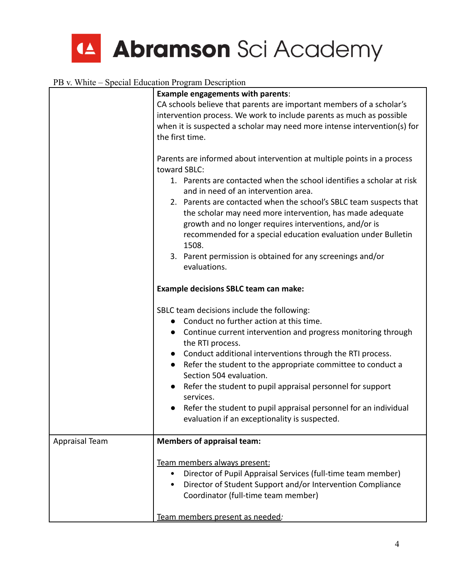|                | <b>Example engagements with parents:</b>                                                                                                                                                                                                                            |  |  |
|----------------|---------------------------------------------------------------------------------------------------------------------------------------------------------------------------------------------------------------------------------------------------------------------|--|--|
|                | CA schools believe that parents are important members of a scholar's<br>intervention process. We work to include parents as much as possible                                                                                                                        |  |  |
|                | when it is suspected a scholar may need more intense intervention(s) for                                                                                                                                                                                            |  |  |
|                | the first time.                                                                                                                                                                                                                                                     |  |  |
|                | Parents are informed about intervention at multiple points in a process<br>toward SBLC:                                                                                                                                                                             |  |  |
|                | 1. Parents are contacted when the school identifies a scholar at risk<br>and in need of an intervention area.                                                                                                                                                       |  |  |
|                | 2. Parents are contacted when the school's SBLC team suspects that<br>the scholar may need more intervention, has made adequate<br>growth and no longer requires interventions, and/or is<br>recommended for a special education evaluation under Bulletin<br>1508. |  |  |
|                | 3. Parent permission is obtained for any screenings and/or<br>evaluations.                                                                                                                                                                                          |  |  |
|                | <b>Example decisions SBLC team can make:</b>                                                                                                                                                                                                                        |  |  |
|                | SBLC team decisions include the following:                                                                                                                                                                                                                          |  |  |
|                | Conduct no further action at this time.                                                                                                                                                                                                                             |  |  |
|                | Continue current intervention and progress monitoring through<br>$\bullet$<br>the RTI process.                                                                                                                                                                      |  |  |
|                | Conduct additional interventions through the RTI process.                                                                                                                                                                                                           |  |  |
|                | Refer the student to the appropriate committee to conduct a<br>$\bullet$<br>Section 504 evaluation.                                                                                                                                                                 |  |  |
|                | Refer the student to pupil appraisal personnel for support<br>$\bullet$<br>services.                                                                                                                                                                                |  |  |
|                | Refer the student to pupil appraisal personnel for an individual<br>evaluation if an exceptionality is suspected.                                                                                                                                                   |  |  |
| Appraisal Team | <b>Members of appraisal team:</b>                                                                                                                                                                                                                                   |  |  |
|                | Team members always present:                                                                                                                                                                                                                                        |  |  |
|                | Director of Pupil Appraisal Services (full-time team member)<br>$\bullet$                                                                                                                                                                                           |  |  |
|                | Director of Student Support and/or Intervention Compliance<br>$\bullet$                                                                                                                                                                                             |  |  |
|                | Coordinator (full-time team member)                                                                                                                                                                                                                                 |  |  |
|                | Team members present as needed:                                                                                                                                                                                                                                     |  |  |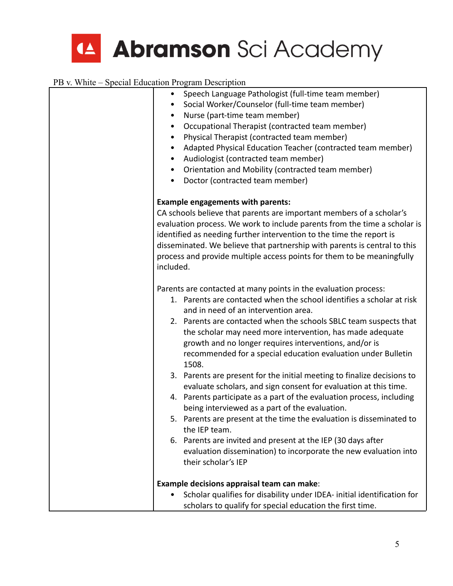| Speech Language Pathologist (full-time team member)<br>Social Worker/Counselor (full-time team member)<br>Nurse (part-time team member)<br>$\bullet$<br>Occupational Therapist (contracted team member)<br>٠<br>Physical Therapist (contracted team member)<br>٠<br>Adapted Physical Education Teacher (contracted team member)<br>$\bullet$<br>Audiologist (contracted team member)<br>Orientation and Mobility (contracted team member)<br>$\bullet$<br>Doctor (contracted team member)<br>$\bullet$                                                                                                                                                                                                                                                                                                                                                                                                                                                                               |
|--------------------------------------------------------------------------------------------------------------------------------------------------------------------------------------------------------------------------------------------------------------------------------------------------------------------------------------------------------------------------------------------------------------------------------------------------------------------------------------------------------------------------------------------------------------------------------------------------------------------------------------------------------------------------------------------------------------------------------------------------------------------------------------------------------------------------------------------------------------------------------------------------------------------------------------------------------------------------------------|
| <b>Example engagements with parents:</b><br>CA schools believe that parents are important members of a scholar's<br>evaluation process. We work to include parents from the time a scholar is<br>identified as needing further intervention to the time the report is<br>disseminated. We believe that partnership with parents is central to this<br>process and provide multiple access points for them to be meaningfully<br>included.                                                                                                                                                                                                                                                                                                                                                                                                                                                                                                                                            |
| Parents are contacted at many points in the evaluation process:<br>1. Parents are contacted when the school identifies a scholar at risk<br>and in need of an intervention area.<br>2. Parents are contacted when the schools SBLC team suspects that<br>the scholar may need more intervention, has made adequate<br>growth and no longer requires interventions, and/or is<br>recommended for a special education evaluation under Bulletin<br>1508.<br>3. Parents are present for the initial meeting to finalize decisions to<br>evaluate scholars, and sign consent for evaluation at this time.<br>4. Parents participate as a part of the evaluation process, including<br>being interviewed as a part of the evaluation.<br>5. Parents are present at the time the evaluation is disseminated to<br>the IEP team.<br>6. Parents are invited and present at the IEP (30 days after<br>evaluation dissemination) to incorporate the new evaluation into<br>their scholar's IEP |
| Example decisions appraisal team can make:<br>Scholar qualifies for disability under IDEA- initial identification for<br>scholars to qualify for special education the first time.                                                                                                                                                                                                                                                                                                                                                                                                                                                                                                                                                                                                                                                                                                                                                                                                   |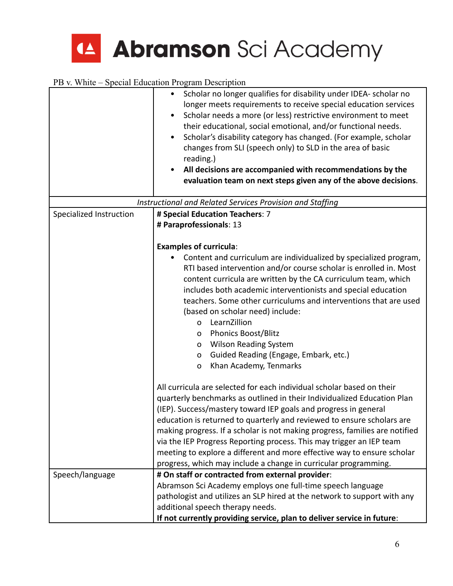

|                         | Scholar no longer qualifies for disability under IDEA- scholar no<br>٠<br>longer meets requirements to receive special education services<br>Scholar needs a more (or less) restrictive environment to meet<br>$\bullet$<br>their educational, social emotional, and/or functional needs.<br>Scholar's disability category has changed. (For example, scholar<br>$\bullet$<br>changes from SLI (speech only) to SLD in the area of basic<br>reading.)<br>All decisions are accompanied with recommendations by the<br>$\bullet$<br>evaluation team on next steps given any of the above decisions.      |
|-------------------------|---------------------------------------------------------------------------------------------------------------------------------------------------------------------------------------------------------------------------------------------------------------------------------------------------------------------------------------------------------------------------------------------------------------------------------------------------------------------------------------------------------------------------------------------------------------------------------------------------------|
|                         | Instructional and Related Services Provision and Staffing                                                                                                                                                                                                                                                                                                                                                                                                                                                                                                                                               |
| Specialized Instruction | # Special Education Teachers: 7                                                                                                                                                                                                                                                                                                                                                                                                                                                                                                                                                                         |
|                         | # Paraprofessionals: 13                                                                                                                                                                                                                                                                                                                                                                                                                                                                                                                                                                                 |
|                         | <b>Examples of curricula:</b><br>Content and curriculum are individualized by specialized program,<br>RTI based intervention and/or course scholar is enrolled in. Most<br>content curricula are written by the CA curriculum team, which<br>includes both academic interventionists and special education<br>teachers. Some other curriculums and interventions that are used<br>(based on scholar need) include:<br>LearnZillion<br>0<br>Phonics Boost/Blitz<br>0<br><b>Wilson Reading System</b><br>O<br>Guided Reading (Engage, Embark, etc.)<br>0<br>Khan Academy, Tenmarks<br>$\mathsf{o}\xspace$ |
|                         | All curricula are selected for each individual scholar based on their<br>quarterly benchmarks as outlined in their Individualized Education Plan<br>(IEP). Success/mastery toward IEP goals and progress in general<br>education is returned to quarterly and reviewed to ensure scholars are<br>making progress. If a scholar is not making progress, families are notified<br>via the IEP Progress Reporting process. This may trigger an IEP team<br>meeting to explore a different and more effective way to ensure scholar<br>progress, which may include a change in curricular programming.      |
| Speech/language         | # On staff or contracted from external provider:<br>Abramson Sci Academy employs one full-time speech language<br>pathologist and utilizes an SLP hired at the network to support with any<br>additional speech therapy needs.<br>If not currently providing service, plan to deliver service in future:                                                                                                                                                                                                                                                                                                |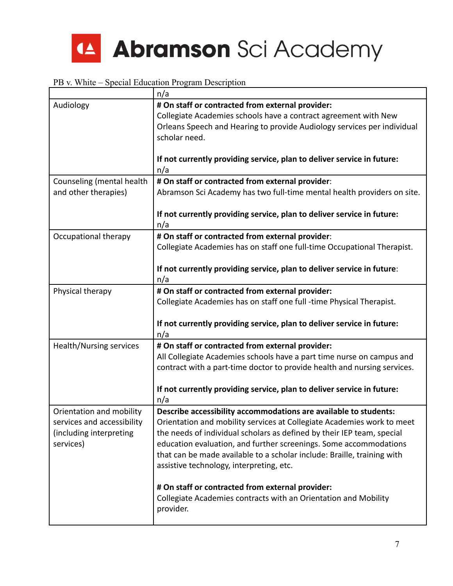

|                                                                                                | n/a                                                                                                                                                                                                                                                                                                                                                                                                                                                                  |
|------------------------------------------------------------------------------------------------|----------------------------------------------------------------------------------------------------------------------------------------------------------------------------------------------------------------------------------------------------------------------------------------------------------------------------------------------------------------------------------------------------------------------------------------------------------------------|
| Audiology                                                                                      | # On staff or contracted from external provider:<br>Collegiate Academies schools have a contract agreement with New<br>Orleans Speech and Hearing to provide Audiology services per individual<br>scholar need.                                                                                                                                                                                                                                                      |
|                                                                                                | If not currently providing service, plan to deliver service in future:<br>n/a                                                                                                                                                                                                                                                                                                                                                                                        |
| Counseling (mental health<br>and other therapies)                                              | # On staff or contracted from external provider:<br>Abramson Sci Academy has two full-time mental health providers on site.                                                                                                                                                                                                                                                                                                                                          |
|                                                                                                | If not currently providing service, plan to deliver service in future:<br>n/a                                                                                                                                                                                                                                                                                                                                                                                        |
| Occupational therapy                                                                           | # On staff or contracted from external provider:<br>Collegiate Academies has on staff one full-time Occupational Therapist.                                                                                                                                                                                                                                                                                                                                          |
|                                                                                                | If not currently providing service, plan to deliver service in future:<br>n/a                                                                                                                                                                                                                                                                                                                                                                                        |
| Physical therapy                                                                               | # On staff or contracted from external provider:<br>Collegiate Academies has on staff one full -time Physical Therapist.<br>If not currently providing service, plan to deliver service in future:<br>n/a                                                                                                                                                                                                                                                            |
| Health/Nursing services                                                                        | # On staff or contracted from external provider:<br>All Collegiate Academies schools have a part time nurse on campus and<br>contract with a part-time doctor to provide health and nursing services.<br>If not currently providing service, plan to deliver service in future:<br>n/a                                                                                                                                                                               |
| Orientation and mobility<br>services and accessibility<br>(including interpreting<br>services) | Describe accessibility accommodations are available to students:<br>Orientation and mobility services at Collegiate Academies work to meet<br>the needs of individual scholars as defined by their IEP team, special<br>education evaluation, and further screenings. Some accommodations<br>that can be made available to a scholar include: Braille, training with<br>assistive technology, interpreting, etc.<br># On staff or contracted from external provider: |
|                                                                                                | Collegiate Academies contracts with an Orientation and Mobility<br>provider.                                                                                                                                                                                                                                                                                                                                                                                         |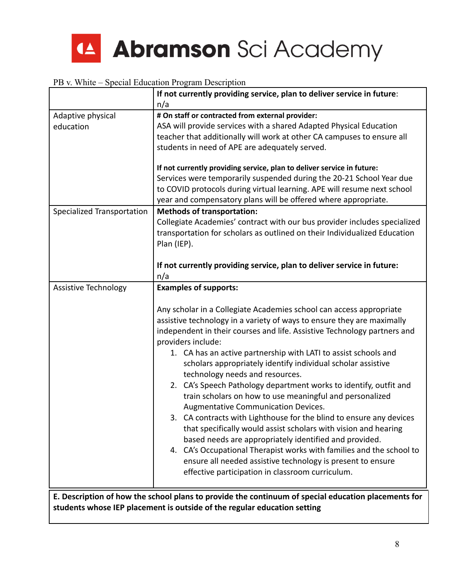

|                             | If not currently providing service, plan to deliver service in future:                                                                                                                                                                                                                                                                                                                                                                                                                                                                                                                                                                                                                                                                                                                                                                                                                                                                                                                       |
|-----------------------------|----------------------------------------------------------------------------------------------------------------------------------------------------------------------------------------------------------------------------------------------------------------------------------------------------------------------------------------------------------------------------------------------------------------------------------------------------------------------------------------------------------------------------------------------------------------------------------------------------------------------------------------------------------------------------------------------------------------------------------------------------------------------------------------------------------------------------------------------------------------------------------------------------------------------------------------------------------------------------------------------|
|                             | n/a                                                                                                                                                                                                                                                                                                                                                                                                                                                                                                                                                                                                                                                                                                                                                                                                                                                                                                                                                                                          |
| Adaptive physical           | # On staff or contracted from external provider:                                                                                                                                                                                                                                                                                                                                                                                                                                                                                                                                                                                                                                                                                                                                                                                                                                                                                                                                             |
| education                   | ASA will provide services with a shared Adapted Physical Education                                                                                                                                                                                                                                                                                                                                                                                                                                                                                                                                                                                                                                                                                                                                                                                                                                                                                                                           |
|                             | teacher that additionally will work at other CA campuses to ensure all                                                                                                                                                                                                                                                                                                                                                                                                                                                                                                                                                                                                                                                                                                                                                                                                                                                                                                                       |
|                             | students in need of APE are adequately served.                                                                                                                                                                                                                                                                                                                                                                                                                                                                                                                                                                                                                                                                                                                                                                                                                                                                                                                                               |
|                             | If not currently providing service, plan to deliver service in future:<br>Services were temporarily suspended during the 20-21 School Year due<br>to COVID protocols during virtual learning. APE will resume next school<br>year and compensatory plans will be offered where appropriate.                                                                                                                                                                                                                                                                                                                                                                                                                                                                                                                                                                                                                                                                                                  |
| Specialized Transportation  | <b>Methods of transportation:</b>                                                                                                                                                                                                                                                                                                                                                                                                                                                                                                                                                                                                                                                                                                                                                                                                                                                                                                                                                            |
|                             | Collegiate Academies' contract with our bus provider includes specialized<br>transportation for scholars as outlined on their Individualized Education<br>Plan (IEP).                                                                                                                                                                                                                                                                                                                                                                                                                                                                                                                                                                                                                                                                                                                                                                                                                        |
|                             | If not currently providing service, plan to deliver service in future:<br>n/a                                                                                                                                                                                                                                                                                                                                                                                                                                                                                                                                                                                                                                                                                                                                                                                                                                                                                                                |
| <b>Assistive Technology</b> | <b>Examples of supports:</b>                                                                                                                                                                                                                                                                                                                                                                                                                                                                                                                                                                                                                                                                                                                                                                                                                                                                                                                                                                 |
|                             | Any scholar in a Collegiate Academies school can access appropriate<br>assistive technology in a variety of ways to ensure they are maximally<br>independent in their courses and life. Assistive Technology partners and<br>providers include:<br>1. CA has an active partnership with LATI to assist schools and<br>scholars appropriately identify individual scholar assistive<br>technology needs and resources.<br>2. CA's Speech Pathology department works to identify, outfit and<br>train scholars on how to use meaningful and personalized<br>Augmentative Communication Devices.<br>3. CA contracts with Lighthouse for the blind to ensure any devices<br>that specifically would assist scholars with vision and hearing<br>based needs are appropriately identified and provided.<br>4. CA's Occupational Therapist works with families and the school to<br>ensure all needed assistive technology is present to ensure<br>effective participation in classroom curriculum. |
|                             | E. Description of how the school plans to provide the continuum of special education placements for                                                                                                                                                                                                                                                                                                                                                                                                                                                                                                                                                                                                                                                                                                                                                                                                                                                                                          |
|                             | students whose IEP placement is outside of the regular education setting                                                                                                                                                                                                                                                                                                                                                                                                                                                                                                                                                                                                                                                                                                                                                                                                                                                                                                                     |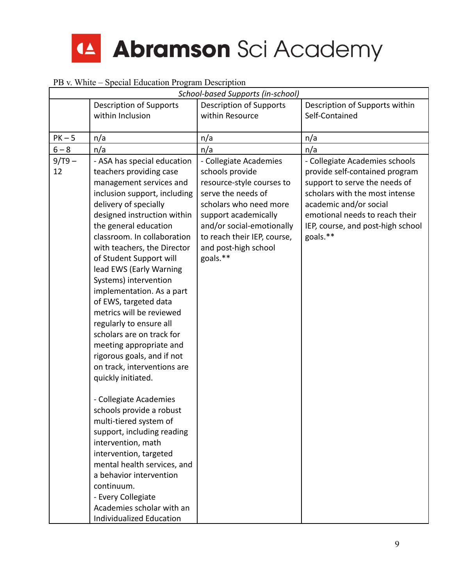

| $\sim$ $\cdots$ |                                                                                                                                                                                                                                                                                                                                                                                                                                                                                                                                                                                                                                                                                                                                                                                                                                                                                                  | School-based Supports (in-school)                                                                                                                                                                                                              |                                                                                                                                                                                                                                                  |
|-----------------|--------------------------------------------------------------------------------------------------------------------------------------------------------------------------------------------------------------------------------------------------------------------------------------------------------------------------------------------------------------------------------------------------------------------------------------------------------------------------------------------------------------------------------------------------------------------------------------------------------------------------------------------------------------------------------------------------------------------------------------------------------------------------------------------------------------------------------------------------------------------------------------------------|------------------------------------------------------------------------------------------------------------------------------------------------------------------------------------------------------------------------------------------------|--------------------------------------------------------------------------------------------------------------------------------------------------------------------------------------------------------------------------------------------------|
|                 | <b>Description of Supports</b>                                                                                                                                                                                                                                                                                                                                                                                                                                                                                                                                                                                                                                                                                                                                                                                                                                                                   | <b>Description of Supports</b>                                                                                                                                                                                                                 | Description of Supports within                                                                                                                                                                                                                   |
|                 | within Inclusion                                                                                                                                                                                                                                                                                                                                                                                                                                                                                                                                                                                                                                                                                                                                                                                                                                                                                 | within Resource                                                                                                                                                                                                                                | Self-Contained                                                                                                                                                                                                                                   |
|                 |                                                                                                                                                                                                                                                                                                                                                                                                                                                                                                                                                                                                                                                                                                                                                                                                                                                                                                  |                                                                                                                                                                                                                                                |                                                                                                                                                                                                                                                  |
| $PK-5$          | n/a                                                                                                                                                                                                                                                                                                                                                                                                                                                                                                                                                                                                                                                                                                                                                                                                                                                                                              | n/a                                                                                                                                                                                                                                            | n/a                                                                                                                                                                                                                                              |
| $6 - 8$         | n/a                                                                                                                                                                                                                                                                                                                                                                                                                                                                                                                                                                                                                                                                                                                                                                                                                                                                                              | n/a                                                                                                                                                                                                                                            | n/a                                                                                                                                                                                                                                              |
| $9/T9 -$<br>12  | - ASA has special education<br>teachers providing case<br>management services and<br>inclusion support, including<br>delivery of specially<br>designed instruction within<br>the general education<br>classroom. In collaboration<br>with teachers, the Director<br>of Student Support will<br>lead EWS (Early Warning<br>Systems) intervention<br>implementation. As a part<br>of EWS, targeted data<br>metrics will be reviewed<br>regularly to ensure all<br>scholars are on track for<br>meeting appropriate and<br>rigorous goals, and if not<br>on track, interventions are<br>quickly initiated.<br>- Collegiate Academies<br>schools provide a robust<br>multi-tiered system of<br>support, including reading<br>intervention, math<br>intervention, targeted<br>mental health services, and<br>a behavior intervention<br>continuum.<br>- Every Collegiate<br>Academies scholar with an | - Collegiate Academies<br>schools provide<br>resource-style courses to<br>serve the needs of<br>scholars who need more<br>support academically<br>and/or social-emotionally<br>to reach their IEP, course,<br>and post-high school<br>goals.** | - Collegiate Academies schools<br>provide self-contained program<br>support to serve the needs of<br>scholars with the most intense<br>academic and/or social<br>emotional needs to reach their<br>IEP, course, and post-high school<br>goals.** |
|                 | Individualized Education                                                                                                                                                                                                                                                                                                                                                                                                                                                                                                                                                                                                                                                                                                                                                                                                                                                                         |                                                                                                                                                                                                                                                |                                                                                                                                                                                                                                                  |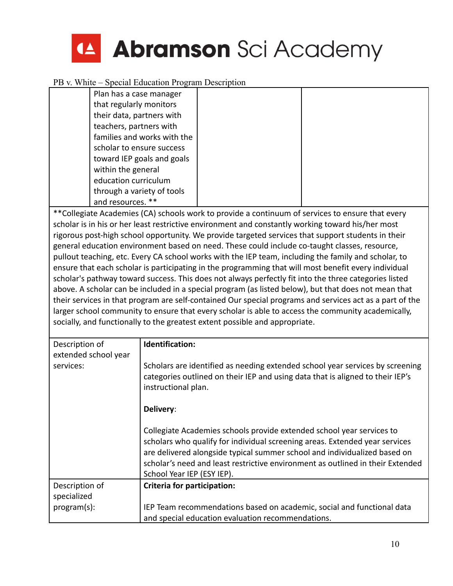

| Plan has a case manager     |  |  |
|-----------------------------|--|--|
| that regularly monitors     |  |  |
| their data, partners with   |  |  |
| teachers, partners with     |  |  |
| families and works with the |  |  |
| scholar to ensure success   |  |  |
| toward IEP goals and goals  |  |  |
| within the general          |  |  |
| education curriculum        |  |  |
| through a variety of tools  |  |  |
| and resources.<br>$***$     |  |  |
|                             |  |  |

\*\*Collegiate Academies (CA) schools work to provide a continuum of services to ensure that every scholar is in his or her least restrictive environment and constantly working toward his/her most rigorous post-high school opportunity. We provide targeted services that support students in their general education environment based on need. These could include co-taught classes, resource, pullout teaching, etc. Every CA school works with the IEP team, including the family and scholar, to ensure that each scholar is participating in the programming that will most benefit every individual scholar's pathway toward success. This does not always perfectly fit into the three categories listed above. A scholar can be included in a special program (as listed below), but that does not mean that their services in that program are self-contained Our special programs and services act as a part of the larger school community to ensure that every scholar is able to access the community academically, socially, and functionally to the greatest extent possible and appropriate.

| Description of<br>extended school year | Identification:                                                                                                                                                                                                                                                                                                                                   |
|----------------------------------------|---------------------------------------------------------------------------------------------------------------------------------------------------------------------------------------------------------------------------------------------------------------------------------------------------------------------------------------------------|
| services:                              | Scholars are identified as needing extended school year services by screening<br>categories outlined on their IEP and using data that is aligned to their IEP's<br>instructional plan.                                                                                                                                                            |
|                                        | Delivery:                                                                                                                                                                                                                                                                                                                                         |
|                                        | Collegiate Academies schools provide extended school year services to<br>scholars who qualify for individual screening areas. Extended year services<br>are delivered alongside typical summer school and individualized based on<br>scholar's need and least restrictive environment as outlined in their Extended<br>School Year IEP (ESY IEP). |
| Description of                         | Criteria for participation:                                                                                                                                                                                                                                                                                                                       |
| specialized                            |                                                                                                                                                                                                                                                                                                                                                   |
| program(s):                            | IEP Team recommendations based on academic, social and functional data                                                                                                                                                                                                                                                                            |
|                                        | and special education evaluation recommendations.                                                                                                                                                                                                                                                                                                 |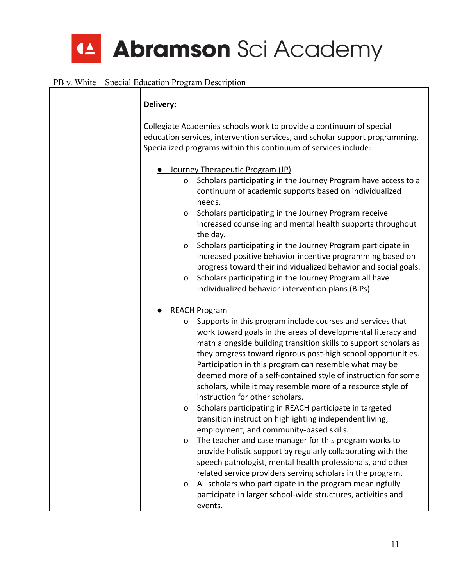| Delivery:         |                                                                                                                                                                                                                                                                                                                                                                                                                                                                                                                      |
|-------------------|----------------------------------------------------------------------------------------------------------------------------------------------------------------------------------------------------------------------------------------------------------------------------------------------------------------------------------------------------------------------------------------------------------------------------------------------------------------------------------------------------------------------|
|                   | Collegiate Academies schools work to provide a continuum of special<br>education services, intervention services, and scholar support programming.<br>Specialized programs within this continuum of services include:                                                                                                                                                                                                                                                                                                |
| $\mathsf{o}$<br>0 | Journey Therapeutic Program (JP)<br>Scholars participating in the Journey Program have access to a<br>continuum of academic supports based on individualized<br>needs.<br>Scholars participating in the Journey Program receive<br>increased counseling and mental health supports throughout<br>the day.                                                                                                                                                                                                            |
| o<br>0            | Scholars participating in the Journey Program participate in<br>increased positive behavior incentive programming based on<br>progress toward their individualized behavior and social goals.<br>Scholars participating in the Journey Program all have<br>individualized behavior intervention plans (BIPs).                                                                                                                                                                                                        |
| 0                 | <b>REACH Program</b><br>Supports in this program include courses and services that<br>work toward goals in the areas of developmental literacy and<br>math alongside building transition skills to support scholars as<br>they progress toward rigorous post-high school opportunities.<br>Participation in this program can resemble what may be<br>deemed more of a self-contained style of instruction for some<br>scholars, while it may resemble more of a resource style of<br>instruction for other scholars. |
| 0                 | Scholars participating in REACH participate in targeted<br>transition instruction highlighting independent living,<br>employment, and community-based skills.                                                                                                                                                                                                                                                                                                                                                        |
| o                 | The teacher and case manager for this program works to<br>provide holistic support by regularly collaborating with the<br>speech pathologist, mental health professionals, and other<br>related service providers serving scholars in the program.                                                                                                                                                                                                                                                                   |
| o                 | All scholars who participate in the program meaningfully<br>participate in larger school-wide structures, activities and<br>events.                                                                                                                                                                                                                                                                                                                                                                                  |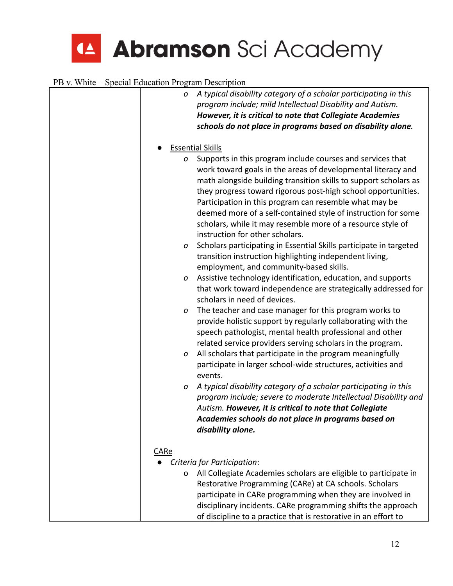|      | A typical disability category of a scholar participating in this<br>0<br>program include; mild Intellectual Disability and Autism.<br>However, it is critical to note that Collegiate Academies<br>schools do not place in programs based on disability alone.                                                                                                                                                                                                                                    |
|------|---------------------------------------------------------------------------------------------------------------------------------------------------------------------------------------------------------------------------------------------------------------------------------------------------------------------------------------------------------------------------------------------------------------------------------------------------------------------------------------------------|
|      | <b>Essential Skills</b>                                                                                                                                                                                                                                                                                                                                                                                                                                                                           |
|      | Supports in this program include courses and services that<br>0<br>work toward goals in the areas of developmental literacy and<br>math alongside building transition skills to support scholars as<br>they progress toward rigorous post-high school opportunities.<br>Participation in this program can resemble what may be<br>deemed more of a self-contained style of instruction for some<br>scholars, while it may resemble more of a resource style of<br>instruction for other scholars. |
|      | Scholars participating in Essential Skills participate in targeted<br>0<br>transition instruction highlighting independent living,<br>employment, and community-based skills.                                                                                                                                                                                                                                                                                                                     |
|      | Assistive technology identification, education, and supports<br>O<br>that work toward independence are strategically addressed for<br>scholars in need of devices.                                                                                                                                                                                                                                                                                                                                |
|      | The teacher and case manager for this program works to<br>0<br>provide holistic support by regularly collaborating with the<br>speech pathologist, mental health professional and other<br>related service providers serving scholars in the program.                                                                                                                                                                                                                                             |
|      | All scholars that participate in the program meaningfully<br>0<br>participate in larger school-wide structures, activities and<br>events.                                                                                                                                                                                                                                                                                                                                                         |
|      | A typical disability category of a scholar participating in this<br>0<br>program include; severe to moderate Intellectual Disability and<br>Autism. However, it is critical to note that Collegiate<br>Academies schools do not place in programs based on<br>disability alone.                                                                                                                                                                                                                   |
| CARe | Criteria for Participation:                                                                                                                                                                                                                                                                                                                                                                                                                                                                       |
|      | All Collegiate Academies scholars are eligible to participate in<br>$\mathsf{o}$<br>Restorative Programming (CARe) at CA schools. Scholars<br>participate in CARe programming when they are involved in<br>disciplinary incidents. CARe programming shifts the approach<br>of discipline to a practice that is restorative in an effort to                                                                                                                                                        |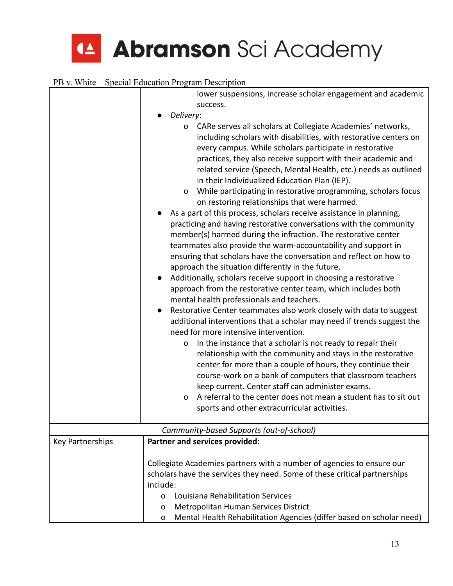|                  | lower suspensions, increase scholar engagement and academic<br>success.                                                                                                                                                                                                                                                                                                                                                                                                                                                                                                                                                                                                                                                                                                                                                                                                                                                                                                                                                                                                                                                                                                                                                                                                                                                                                                                                                                                                                                                                                                                                                                                                                                                                                                  |  |  |
|------------------|--------------------------------------------------------------------------------------------------------------------------------------------------------------------------------------------------------------------------------------------------------------------------------------------------------------------------------------------------------------------------------------------------------------------------------------------------------------------------------------------------------------------------------------------------------------------------------------------------------------------------------------------------------------------------------------------------------------------------------------------------------------------------------------------------------------------------------------------------------------------------------------------------------------------------------------------------------------------------------------------------------------------------------------------------------------------------------------------------------------------------------------------------------------------------------------------------------------------------------------------------------------------------------------------------------------------------------------------------------------------------------------------------------------------------------------------------------------------------------------------------------------------------------------------------------------------------------------------------------------------------------------------------------------------------------------------------------------------------------------------------------------------------|--|--|
|                  |                                                                                                                                                                                                                                                                                                                                                                                                                                                                                                                                                                                                                                                                                                                                                                                                                                                                                                                                                                                                                                                                                                                                                                                                                                                                                                                                                                                                                                                                                                                                                                                                                                                                                                                                                                          |  |  |
|                  | Delivery:<br>CARe serves all scholars at Collegiate Academies' networks,<br>o<br>including scholars with disabilities, with restorative centers on<br>every campus. While scholars participate in restorative<br>practices, they also receive support with their academic and<br>related service (Speech, Mental Health, etc.) needs as outlined<br>in their Individualized Education Plan (IEP).<br>While participating in restorative programming, scholars focus<br>O<br>on restoring relationships that were harmed.<br>As a part of this process, scholars receive assistance in planning,<br>practicing and having restorative conversations with the community<br>member(s) harmed during the infraction. The restorative center<br>teammates also provide the warm-accountability and support in<br>ensuring that scholars have the conversation and reflect on how to<br>approach the situation differently in the future.<br>Additionally, scholars receive support in choosing a restorative<br>approach from the restorative center team, which includes both<br>mental health professionals and teachers.<br>Restorative Center teammates also work closely with data to suggest<br>additional interventions that a scholar may need if trends suggest the<br>need for more intensive intervention.<br>In the instance that a scholar is not ready to repair their<br>o<br>relationship with the community and stays in the restorative<br>center for more than a couple of hours, they continue their<br>course-work on a bank of computers that classroom teachers<br>keep current. Center staff can administer exams.<br>A referral to the center does not mean a student has to sit out<br>$\mathsf{o}$<br>sports and other extracurricular activities. |  |  |
|                  |                                                                                                                                                                                                                                                                                                                                                                                                                                                                                                                                                                                                                                                                                                                                                                                                                                                                                                                                                                                                                                                                                                                                                                                                                                                                                                                                                                                                                                                                                                                                                                                                                                                                                                                                                                          |  |  |
|                  | Community-based Supports (out-of-school)                                                                                                                                                                                                                                                                                                                                                                                                                                                                                                                                                                                                                                                                                                                                                                                                                                                                                                                                                                                                                                                                                                                                                                                                                                                                                                                                                                                                                                                                                                                                                                                                                                                                                                                                 |  |  |
| Key Partnerships | Partner and services provided:                                                                                                                                                                                                                                                                                                                                                                                                                                                                                                                                                                                                                                                                                                                                                                                                                                                                                                                                                                                                                                                                                                                                                                                                                                                                                                                                                                                                                                                                                                                                                                                                                                                                                                                                           |  |  |
|                  | Collegiate Academies partners with a number of agencies to ensure our                                                                                                                                                                                                                                                                                                                                                                                                                                                                                                                                                                                                                                                                                                                                                                                                                                                                                                                                                                                                                                                                                                                                                                                                                                                                                                                                                                                                                                                                                                                                                                                                                                                                                                    |  |  |
|                  | scholars have the services they need. Some of these critical partnerships                                                                                                                                                                                                                                                                                                                                                                                                                                                                                                                                                                                                                                                                                                                                                                                                                                                                                                                                                                                                                                                                                                                                                                                                                                                                                                                                                                                                                                                                                                                                                                                                                                                                                                |  |  |
|                  | include:                                                                                                                                                                                                                                                                                                                                                                                                                                                                                                                                                                                                                                                                                                                                                                                                                                                                                                                                                                                                                                                                                                                                                                                                                                                                                                                                                                                                                                                                                                                                                                                                                                                                                                                                                                 |  |  |
|                  | Louisiana Rehabilitation Services<br>0                                                                                                                                                                                                                                                                                                                                                                                                                                                                                                                                                                                                                                                                                                                                                                                                                                                                                                                                                                                                                                                                                                                                                                                                                                                                                                                                                                                                                                                                                                                                                                                                                                                                                                                                   |  |  |
|                  | Metropolitan Human Services District<br>0<br>Mental Health Rehabilitation Agencies (differ based on scholar need)<br>O                                                                                                                                                                                                                                                                                                                                                                                                                                                                                                                                                                                                                                                                                                                                                                                                                                                                                                                                                                                                                                                                                                                                                                                                                                                                                                                                                                                                                                                                                                                                                                                                                                                   |  |  |
|                  |                                                                                                                                                                                                                                                                                                                                                                                                                                                                                                                                                                                                                                                                                                                                                                                                                                                                                                                                                                                                                                                                                                                                                                                                                                                                                                                                                                                                                                                                                                                                                                                                                                                                                                                                                                          |  |  |